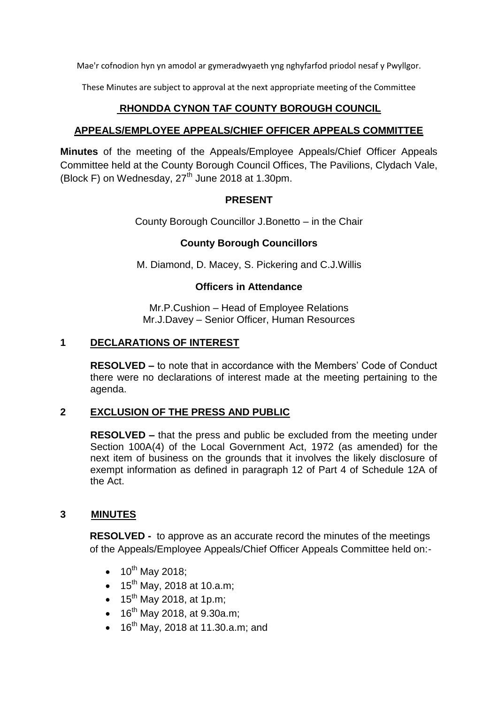Mae'r cofnodion hyn yn amodol ar gymeradwyaeth yng nghyfarfod priodol nesaf y Pwyllgor.

These Minutes are subject to approval at the next appropriate meeting of the Committee

# **RHONDDA CYNON TAF COUNTY BOROUGH COUNCIL**

## **APPEALS/EMPLOYEE APPEALS/CHIEF OFFICER APPEALS COMMITTEE**

**Minutes** of the meeting of the Appeals/Employee Appeals/Chief Officer Appeals Committee held at the County Borough Council Offices, The Pavilions, Clydach Vale, (Block F) on Wednesday,  $27<sup>th</sup>$  June 2018 at 1.30pm.

## **PRESENT**

County Borough Councillor J.Bonetto – in the Chair

## **County Borough Councillors**

M. Diamond, D. Macey, S. Pickering and C.J.Willis

### **Officers in Attendance**

Mr.P.Cushion – Head of Employee Relations Mr.J.Davey – Senior Officer, Human Resources

### **1 DECLARATIONS OF INTEREST**

**RESOLVED –** to note that in accordance with the Members' Code of Conduct there were no declarations of interest made at the meeting pertaining to the agenda.

### **2 EXCLUSION OF THE PRESS AND PUBLIC**

**RESOLVED –** that the press and public be excluded from the meeting under Section 100A(4) of the Local Government Act, 1972 (as amended) for the next item of business on the grounds that it involves the likely disclosure of exempt information as defined in paragraph 12 of Part 4 of Schedule 12A of the Act.

### **3 MINUTES**

**RESOLVED -** to approve as an accurate record the minutes of the meetings of the Appeals/Employee Appeals/Chief Officer Appeals Committee held on:-

- $\bullet$  10<sup>th</sup> May 2018;
- $15^{th}$  May, 2018 at 10.a.m;
- $\bullet$  15<sup>th</sup> May 2018, at 1p.m;
- $\bullet$  16<sup>th</sup> May 2018, at 9.30a.m;
- $\bullet$  16<sup>th</sup> May, 2018 at 11.30.a.m; and